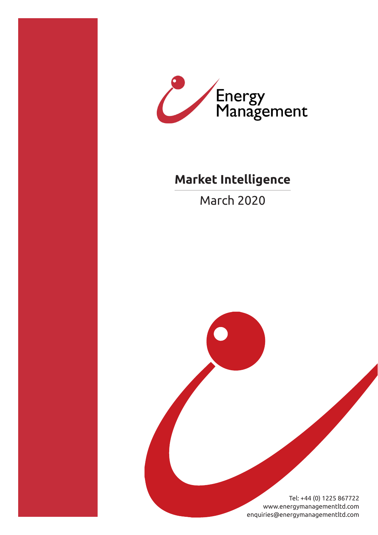



## **Market Intelligence**

March 2020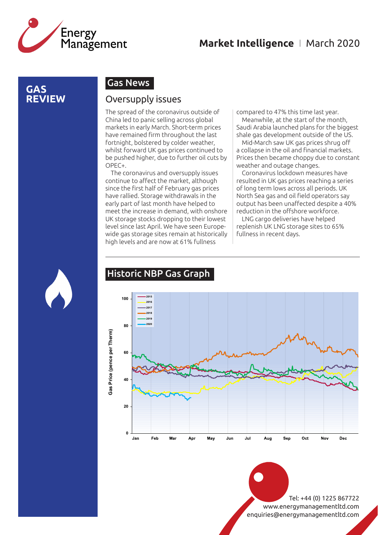

### **GAS REVIEW**

### Gas News

### Oversupply issues

The spread of the coronavirus outside of China led to panic selling across global markets in early March. Short-term prices have remained firm throughout the last fortnight, bolstered by colder weather, whilst forward UK gas prices continued to be pushed higher, due to further oil cuts by OPEC+.

The coronavirus and oversupply issues continue to affect the market, although since the first half of February gas prices have rallied. Storage withdrawals in the early part of last month have helped to meet the increase in demand, with onshore UK storage stocks dropping to their lowest level since last April. We have seen Europewide gas storage sites remain at historically high levels and are now at 61% fullness

compared to 47% this time last year.

Meanwhile, at the start of the month, Saudi Arabia launched plans for the biggest shale gas development outside of the US.

Mid-March saw UK gas prices shrug off a collapse in the oil and financial markets. Prices then became choppy due to constant weather and outage changes.

Coronavirus lockdown measures have resulted in UK gas prices reaching a series of long term lows across all periods. UK North Sea gas and oil field operators say output has been unaffected despite a 40% reduction in the offshore workforce.

LNG cargo deliveries have helped replenish UK LNG storage sites to 65% fullness in recent days.



### Historic NBP Gas Graph

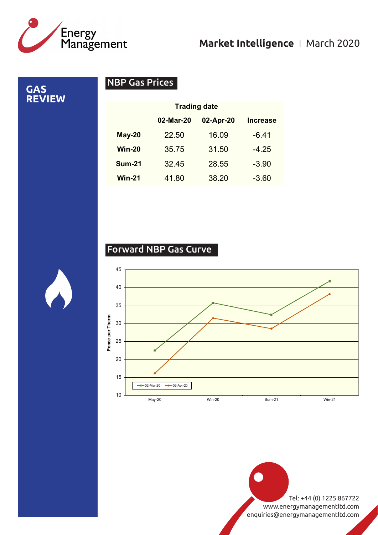![](_page_2_Picture_0.jpeg)

**GAS** 

**REVIEW**

### **Market Intelligence** I March 2020

NBP Gas Prices

02-Mar-20 02-Apr-20 Increase May-20 22.50 16.09 -6.41 Win-20 35.75 31.50 -4.25 **Sum-21** 32.45 28.55 -3.90 Win-21 41.80 38.20 -3.60 Trading date

### Forward NBP Gas Curve

![](_page_2_Figure_5.jpeg)

![](_page_2_Picture_7.jpeg)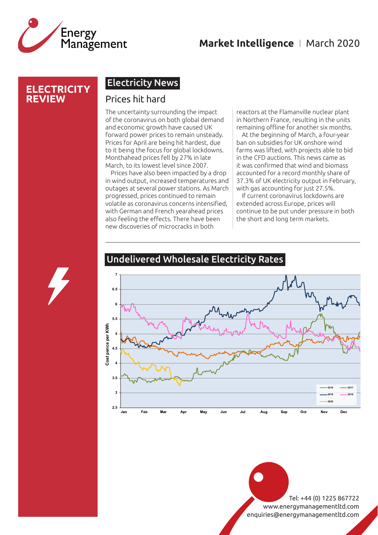![](_page_3_Picture_0.jpeg)

### **Market Intelligence** I March 2020

### **ELECTRICITY REVIEW**

### Electricity News

### Prices hit hard

The uncertainty surrounding the impact of the coronavirus on both global demand and economic growth have caused UK forward power prices to remain unsteady. Prices for April are being hit hardest, due to it being the focus for global lockdowns. Monthahead prices fell by 27% in late March, to its lowest level since 2007.

Prices have also been impacted by a drop in wind output, increased temperatures and outages at several power stations. As March progressed, prices continued to remain volatile as coronavirus concerns intensified, with German and French yearahead prices also feeling the effects. There have been new discoveries of microcracks in both

reactors at the Flamanville nuclear plant in Northern France, resulting in the units remaining offline for another six months.

At the beginning of March, a four-year ban on subsidies for UK onshore wind farms was lifted, with projects able to bid in the CFD auctions. This news came as it was confirmed that wind and biomass accounted for a record monthly share of 37.3% of UK electricity output in February, with gas accounting for just 27.5%.

If current coronavirus lockdowns are extended across Europe, prices will continue to be put under pressure in both the short and long term markets.

![](_page_3_Figure_10.jpeg)

### Undelivered Wholesale Electricity Rates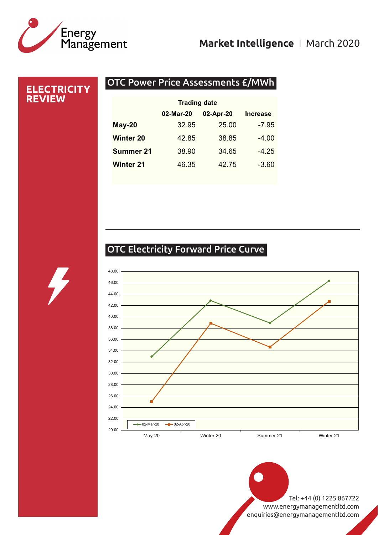# Energy<br>Management

## **Market Intelligence** I March 2020

### **ELECTRICITY REVIEW**

### OTC Power Price Assessments £/MWh

| <b>Trading date</b> |           |                 |
|---------------------|-----------|-----------------|
| 02-Mar-20           | 02-Apr-20 | <b>Increase</b> |
| 32.95               | 25.00     | $-7.95$         |
| 42.85               | 38.85     | $-4.00$         |
| 38.90               | 34.65     | $-4.25$         |
| 46.35               | 42.75     | $-3.60$         |
|                     |           |                 |

## OTC Electricity Forward Price Curve

![](_page_4_Figure_6.jpeg)